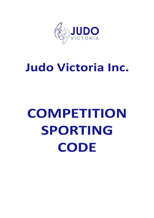

## **Judo Victoria Inc.**

# **COMPETITION SPORTING CODE**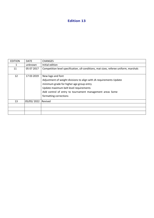## **Edition 13**

| <b>EDITION</b> | <b>DATE</b> | <b>CHANGES</b>                                                                       |
|----------------|-------------|--------------------------------------------------------------------------------------|
| 1              | unknown     | Initial edition                                                                      |
| 11             | 05 07 2017  | Competition level specification, u9 conditions, mat sizes, referee uniform, marshals |
| 12             | 17 03 2019  | New logo and font                                                                    |
|                |             | Adjustment of weight divisions to align with JA requirements Update                  |
|                |             | minimum grade for higher age group entry                                             |
|                |             | Update maximum belt level requirements                                               |
|                |             | Add control of entry to tournament management areas Some                             |
|                |             | formatting corrections                                                               |
| 13             | 05/05/2022  | Revised                                                                              |
|                |             |                                                                                      |
|                |             |                                                                                      |
|                |             |                                                                                      |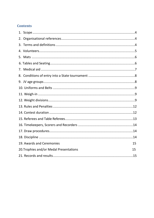## **Contents**

| 2. |                                         |    |
|----|-----------------------------------------|----|
|    |                                         |    |
|    |                                         |    |
|    |                                         |    |
|    |                                         |    |
|    |                                         |    |
| 8. |                                         |    |
|    |                                         |    |
|    |                                         |    |
|    |                                         |    |
|    |                                         |    |
|    |                                         |    |
|    |                                         |    |
|    |                                         |    |
|    |                                         |    |
|    |                                         |    |
|    |                                         |    |
|    | 19. Awards and Ceremonies               | 15 |
|    | 20. Trophies and/or Medal Presentations | 15 |
|    |                                         |    |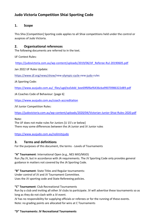## **Judo Victoria Competition Shiai Sporting Code**

## <span id="page-3-0"></span>**1. Scope**

This Shia [Competition] Sporting code applies to all Shiai competitions held under the control or auspices of Judo Victoria.

## <span id="page-3-1"></span>**2. Organisational references**

The following documents are referred to in the text.

IJF Contest Rules:

[https://judovictoria.com.au/wp-content/uploads/2019/06/IJF\\_Referee-Rul-20190605.pdf](https://judovictoria.com.au/wp-content/uploads/2019/06/IJF_Referee-Rul-20190605.pdf)

Jan 2022 IJF Rules Update:

<https://www.ijf.org/news/show/new-olympic-cycle-new-judo-rules>

JA Sporting Code:

[https://www.ausjudo.com.au/\\_files/ugd/ea5ddd\\_bee69f6f6ef6436cba99070986322d89.pdf](https://www.ausjudo.com.au/_files/ugd/ea5ddd_bee69f6f6ef6436cba99070986322d89.pdf)

JA Coaches Code of Behaviour: [page 6]

<https://www.ausjudo.com.au/coach-accreditation>

JVI Junior Competition Rules:

<https://judovictoria.com.au/wp-content/uploads/2020/04/Victorian-Junior-Shiai-Rules-2020.pdf>

Note:

The IJF does not make rules for Juniors [U 15's or below] There may some differences between the JA Junior and JV Junior rules

<https://www.ausjudo.com.au/nolimitsjudo>

## <span id="page-3-2"></span>**3. Terms and definitions**

For the purposes of this document, the terms - Levels of Tournaments

## **"A" Tournament**: International Open (e.g., NES MIO/MIJO)

Run /by JV, but in accordance with JA requirements. The JV Sporting Code only provides general guidance in matters not covered by the JA Sporting Code.

**"B" Tournament**: State Titles and Regular tournaments:

Under control of JV and JV Tournament Committee.

Uses the JV sporting code and State Refereeing policies.

**"C" Tournament**: Club Recreational Tournaments

Run by a club and inviting all other JV clubs to participate. JV will advertise these tournaments so as long as they do not clash with a JV event.

JV has no responsibility for supplying officials or referees or for the running of these events. Note: no grading points are allocated for wins at C Tournaments

## **"D" Tournaments: JV Recreational Tournaments**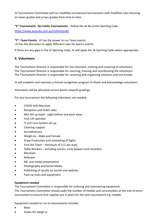JV Tournament Committee will run modified recreational tournaments with modified rules focusing on lower grades and or kyu grades from time to time.

## **"E" Tournament: No Limits Tournaments** – follow the JA No Limits Sporting Code

<https://www.ausjudo.com.au/nolimitsjudo>

**"F"- Team Events**: JV has the power to run Team events. JV has the discretion to apply different rules for team's events.

If there are any gaps in the JV Sporting Code, JV will apply the JA Sporting Code where appropriate.

## <span id="page-4-0"></span>**4. Volunteers**

The Tournament Director is responsible for the induction, training and rostering of volunteers. The Tournament Director is responsible for sourcing, training and coordinating the volunteers. The Tournament Director is responsible for rostering and organising rotations and rest breaks.

JV will establish and maintain a formal recognition program to thank and acknowledge volunteers.

Volunteers will be allocated service points towards gradings.

For any tournament the following volunteers are needed:

- COVID Safe Marshals
- Reception and ticket sales
- Mat Set up team night before and pack away
- Fork Lift operator
- IT and Care System set up
- Catering support
- **Accreditations**
- Weigh Ins Male and Female
- Draw Production and scheduling of fights
- First Aid Team minimum of  $3 \vert 1$  per mat]
- Table Workers including scorers, time keepers and recorders
- Marshals
- Referees
- MC and medal presentation
- Photography and Social Media
- Publishing of results on socials and website
- Pack up mats and equipment

## **Equipment needed**

The Tournament Committee is responsible for ordering and maintaining equipment.

The Tournament Committee should audit the number of medals and consumables at the end of every tournament to ensure that supplies are in place for the next tournament e.g. medals

Equipment needed to run to tournaments includes:

- Mats
- Scales for weigh in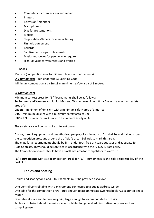- Computers for draw system and server
- Printers
- Television/ monitors
- **Microphones**
- Dias for presentations
- Medals
- Stop watches/timers for manual timing
- First Aid equipment
- Bollards
- Sanitiser and mops to clean mats
- Masks and gloves for people who require
- High Vis vests for volunteers and officials

## <span id="page-5-0"></span>**5. Mats**

Mat size (competition area for different levels of tournaments)

**A** *Tournaments* – run under the JA Sporting Code

Minimum competition area 8m x8 m minimum safety area of 3 metres

## *B Tournaments* –

Minimum contest areas for "B" Tournaments shall be as follows: **Senior men and Women** and Junior Men and Women – minimum 6m x 6m with a minimum safety area of 3m **Cadets** – minimum of 6m x 6m with a minimum safety area of 3 metres **U15** – minimum 5mx5m with a minimum safety area of 3m

**U12 & U9** – minimum 5m X 5m with a minimum safety of 3m

The safety area will be mats of a different colour.

A zone, free of equipment and unauthorised people, of a minimum of 2m shall be maintained around the competition area, and around the official's area. Bollards to mark this area.

The mats for all tournaments should be firm under foot, free of hazardous gaps and adequate for Judo Contests. They should be sanitised in accordance with the JV COVID Safe policy.

The Competition venues should have a small mat area for competitors to warm up.

"**C" Tournaments** Mat size (competition area) for "C" Tournaments is the sole responsibility of the host club.

## <span id="page-5-1"></span>**6. Tables and Seating**

Tables and seating for A and B tournaments must be provided as follows:

One Central Control table with a microphone connected to a public-address system.

One table for the competition draw, large enough to accommodate two notebook PCs, a printer and a router.

One table at male and female weigh-in, large enough to accommodate two chairs.

Tables and chairs behind the various control tables for general administrative purposes such as compiling results.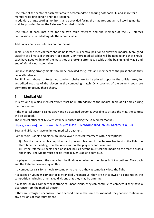One table at the centre of each mat area to accommodate a scoring notebook PC, and space for a manual recording person and time keepers.

In addition, a large scoring monitor shall be provided facing the mat area and a small scoring monitor shall be provided facing the Referees Commission table.

One table at each mat area for the two table referees and the member of the JV Referees Commission, situated alongside the scorer'stable.

Additional chairs for Referees not on the mat.

Table(s) for the medical team should be located in a central position to allow the medical team good visibility of all mats. If there are 4 or 5 mats, 2 or more medical tables will be needed and they should each have good visibility of the mats they are looking after. E.g. a table at the beginning of Mat 1 and end of Mat 4 is not acceptable.

Suitable seating arrangements should be provided for guests and members of the press should they be in attendance.

For U12 and above contests two coaches' chairs are to be placed opposite the official area, for accredited coaches of the players in the competing match. Only coaches of the current bouts are permitted to occupy these chairs.

## <span id="page-6-0"></span>**7. Medical Aid**

At least one qualified medical officer must be in attendance at the medical table at all times during the tournament.

If the medical officer is called away and no qualified person is available to attend the mat, the contest will be stopped.

The medical officers at JV events will be inducted using the JA Medical Manual.

[https://www.ausjudo.com.au/\\_files/ugd/65b733\\_b1e00909b3984dd5bd6bdb90965d9c0c.pdf](https://www.ausjudo.com.au/_files/ugd/65b733_b1e00909b3984dd5bd6bdb90965d9c0c.pdf)

Boys and girls may have unlimited medical treatment.

Competitors, Cadets and older, are not allowed medical treatment with 2 exceptions:

i) For the medic to clean up blood and prevent bleeding. If the Referee has to stop the fight the third time for bleeding from the one location, the player cannot continue.

ii) If the referee suspects head or spinal injuries he/she must call the medic on the mat to assess the injury. The Medic must decide if the player is able to continue.

If a player is concussed, the medic has the final say on whether the player is fit to continue. The coach and the Referee have no say on this.

If a competitor calls for a medic to come onto the mat, they automatically lose the fight.

If a cadet or younger competitor is strangled unconscious, they are not allowed to continue in the competition including other aged divisions that they may be entering.

If a senior or U21 competitor is strangled unconscious, they can continue to compete if they have a clearance from the medical officer.

If they are strangled unconscious for a second time in the same tournament, they cannot continue in any divisions of that tournament.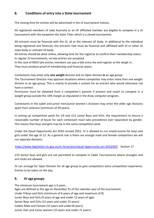## <span id="page-7-0"></span>**8. Conditions of entry into a State tournament**

The closing time for entries will be advertised in the JV tournament notices.

All registered members of Judo Australia or an IJF affiliated member are eligible to compete in a JV tournament with the exception the State Titles which is a closed tournament.

All entrants must be financial with the JV, JA or the relevant IJF body. In additional to the individual being registered and financial, the entrants club must be financial and affiliated with JV or other JA state body or relevant IJF body.

All entries should be done online, allowing time for the registrar to confirm their membership status. In regular JV tournaments, no late entries are accepted.

In the case of MIJO late entries members can pay a late entry fee and register at the weigh in. They must produce proof of membership and financial status.

Contestants may enter only **one weight** division and an Open division **in** an age group.

The Tournament Director may approve situations where competitor may enter more than one weight division in an age group. This is mainly to provide a contest for an entrant who would otherwise not have a contest.

Permission must be obtained from a competitor's parents if present and coach to compete in a weight group outside the 10% margin as stipulated in the draw computer program.

Contestants in the cadet and junior men/junior women's divisions may enter the older age divisions apart from veterans [minimum of 30 years].

In setting up competition pools for U9 and U12 Junior Boys and Girls, the requirement to ensure a reasonable number of bouts for each contestant must take precedence over separation by gender. This means that boys and girls may be in the same competition pool.

Under the Equal Opportunity Act 2010 revised 2022, JV is allowed to run mixed events for boys and girls under the age of 12. As a general rule is there are enough male and female competitors we will run separate divisions.

<https://www.legislation.vic.gov.au/in-force/acts/equal-opportunity-act-2010/024>Section 17

U15 Senior boys and girls are not permitted to compete in Cadet Tournaments where strangles and arm locks are allowed.

JV can arrange for Open Division for all age group to give competitors extra competition experience. Entries to be taken on the day.

## <span id="page-7-1"></span>**9. JV age groups**

The minimum tournament age is 6 years. Ages are defined as the age on December 31 of the calendar year of the tournament. Under 9 Boys and Girls (minimum of 6 years of age and maximum of 8) Junior Boys and Girls (9 years of age and under 12 years of age) Senior Boys and Girls (12 years and under 15 years) Cadets Male and Female (15 years and under18 years) Junior men and Junior women (15 years and under 21 years)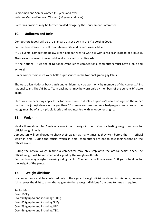Senior men and Senior women (15 years and over) Veteran Men and Veteran Women (30 years and over)

(Veterans divisions may be further divided by age by the Tournament Committee.)

## <span id="page-8-0"></span>**10. Uniforms and Belts**

Competitors Judogi will be of a standard as set down in the JA Sporting Code.

Competitors drawn first will compete in white and cannot wear a blue Gi.

At JV events, competitors below green belt can wear a white gi with a red sash instead of a blue gi. They are not allowed to wear a blue gi with a red or white sash.

At the National Titles and at National Event Series competitions, competitors must have a blue and white gi.

Junior competitors must wear belts as prescribed in the National grading syllabus.

The Australian National back patch and emblem may be worn only by members of the current JA Inc national team. The JVI State Team back patch may be worn only by members of the current JVI State Team.

Clubs or members may apply to JV for permission to display a sponsor's name or logo on the upper part of the judogi sleeve no larger than 25 square centimetres. Any badges/patches worn on the judogi must be of a soft pliable fabric and not interfere with an opponent's grip.

## <span id="page-8-1"></span>**11. Weigh-in**

Ideally there should be 2 sets of scales in each weigh in room. One for testing weight and one for official weigh in only.

 Competitors will be allowed to check their weight as many times as they wish before the official weigh-in time. During the official weigh in time, competitors are not to test their weight on the official scales.

During the official weigh-in time a competitor may only step onto the official scales once. The official weight will be recorded and signed by the weigh in officials.

Competitors may weigh-in wearing judogi pants. Competitors will be allowed 100 grams to allow for the weight of the pants.

## <span id="page-8-2"></span>**12. Weight divisions**

JV competitions shall be contested only in the age and weight divisions shown in this code, however JVI reserves the right to amend/amalgamate these weight divisions from time to time as required.

Senior Men Over 100Kg Over 90Kg up to and including 100Kg Over 81Kg up to and including 90Kg Over 73Kg up to and including 81Kg Over 66Kg up to and including 73Kg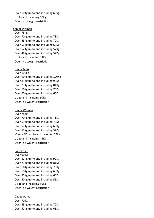Over 60Kg up to and including 66Kg Up to and including 60Kg Open, no weight restriction

#### Senior Women

Over 78Kg Over 70Kg up to and including 78Kg Over 63Kg up to and including 70Kg Over 57Kg up to and including 63Kg Over 52Kg up to and including 57Kg Over 48Kg up to and including 52Kg Up to and including 48Kg Open, no weight restriction

#### Junior Men

Over 100Kg Over 90Kg up to and including 100Kg Over 81Kg up to and including 90Kg Over 73Kg up to and including 81Kg Over 66Kg up to and including 73Kg Over 60Kg up to and including 66Kg Up to and including 60Kg Open, no weight restriction

#### Junior Women

Over 78Kg Over 70Kg up to and including 78Kg Over 63Kg up to and including 70Kg Over 57Kg up to and including 63Kg Over 52Kg up to and including 57Kg Over 48Kg up to and including 52Kg Up to and including 48Kg Open, no weight restriction

#### Cadet men

Over 90 Kg Over 81Kg up to and including 90Kg Over 73Kg up to and including 81Kg Over 66Kg up to and including 73Kg Over 60Kg up to and including 66Kg Over 55Kg up to and including 60Kg Over 50Kg up to and including 55Kg Up to and including 50Kg Open, no weight restriction

#### Cadet women

Over 70 Kg Over 63Kg up to and including 70Kg Over 57Kg up to and including 63Kg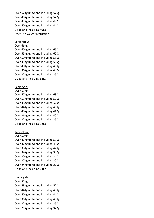Over 52Kg up to and including 57Kg Over 48Kg up to and including 52Kg Over 44Kg up to and including 48Kg Over 40Kg up to and including 44Kg Up to and including 40Kg Open, no weight restriction

#### Senior Boys

#### Over 66Kg

Over 60Kg up to and including 66Kg Over 55Kg up to and including 60Kg Over 50Kg up to and including 55Kg Over 45Kg up to and including 50Kg Over 40Kg up to and including 45Kg Over 36Kg up to and including 40Kg Over 32Kg up to and including 36Kg Up to and including 32Kg

#### Senior girls

#### Over 63Kg

Over 57Kg up to and including 63Kg Over 52Kg up to and including 57Kg Over 48Kg up to and including 52Kg Over 44Kg up to and including 48Kg Over 40Kg up to and including 44Kg Over 36Kg up to and including 40Kg Over 32Kg up to and including 36Kg Up to and including 32Kg

#### Junior boys

#### Over 50Kg

Over 46Kg up to and including 50Kg Over 42Kg up to and including 46Kg Over 38Kg up to and including 42Kg Over 34Kg up to and including 38Kg Over 30Kg up to and including 34Kg Over 27Kg up to and including 30Kg Over 24Kg up to and including 27Kg Up to and including 24Kg

#### Junior girls

#### Over 52Kg

Over 48Kg up to and including 52Kg Over 44Kg up to and including 48Kg Over 40Kg up to and including 44Kg Over 36Kg up to and including 40Kg Over 32Kg up to and including 36Kg Over 29Kg up to and including 32Kg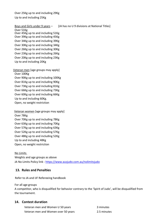Over 25Kg up to and including 29Kg Up to and including 25Kg

Boys and Girls under 9 years - [JA has no U 9 divisions at National Titles]

Over 51Kg Over 45Kg up to and including 51Kg Over 39Kg up to and including 45Kg Over 34Kg up to and including 39Kg Over 30Kg up to and including 34Kg Over 26Kg up to and including 30Kg Over 23Kg up to and including 26Kg Over 20Kg up to and including 23Kg Up to and including 20Kg

Veteran men [age groups may apply] Over 100Kg Over 90Kg up to and including 100Kg Over 81Kg up to and including 90Kg Over 73Kg up to and including 81Kg Over 66Kg up to and including 73Kg Over 60Kg up to and including 66Kg Up to and including 60Kg. Open, no weight restriction

 Veteran women [age groups may apply] Over 78Kg Over 70Kg up to and including 78Kg Over 63Kg up to and including 70Kg Over 57Kg up to and including 63Kg Over 52Kg up to and including 57Kg Over 48Kg up to and including 52Kg Up to and including 48Kg Open, no weight restriction

No Limits Weights and age groups as above JA No Limits Policy link - <https://www.ausjudo.com.au/nolimitsjudo>

## <span id="page-11-0"></span>**13. Rules and Penalties**

Refer to JA and IJF Refereeing handbook

For all age groups

A competitor, who is disqualified for behavior contrary to the 'Spirit of Judo', will be disqualified from the tournament.

## <span id="page-11-1"></span>**14. Contest duration**

matan time<br>Matangan time Veteran men and Women U 50 years and minutes Veteran men and Women over 50 years **2.5 minutes**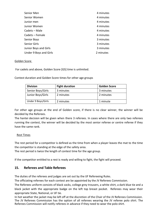| Senior Men             | 4 minutes |
|------------------------|-----------|
| Senior Women           | 4 minutes |
| Junior men             | 4 minutes |
| Junior Women           | 4 minutes |
| Cadets – Male          | 4 minutes |
| Cadets – Female        | 4 minutes |
| Senior Boys            | 3 minutes |
| Senior Girls           | 3 minutes |
| Junior Boys and Girls  | 3 minutes |
| Under 9 Boys and Girls | 2 minutes |

## Golden Score

For cadets and above, Golden Score [GS] time is unlimited.

Contest duration and Golden Score times for other age groups

| <b>Division</b>    | <b>Fight duration</b> | <b>Golden Score</b> |
|--------------------|-----------------------|---------------------|
| Senior Boys/Girls  | 3 minutes             | 3 minutes           |
| Junior Boys/Girls  | 2 minutes             | 2 minutes           |
| Under 9 Boys/Girls | 2 minutes             | 1 minute            |

For other age groups at the end of Golden score, if there is no clear winner, the winner will be decided by the Referees.

The hantei decision will be given when there 3 referees. In cases where there are only two referees running the contest, the winner will be decided by the most senior referee or centre referee if they have the same rank.

## Rest Times

The rest period for a competitor is defined as the time from when a player leaves the mat to the time the competitor is standing at the edge of the safety area.

The rest period is twice the length of contest time for the age group.

If the competitor entitled to a rest is ready and willing to fight, the fight will proceed.

## <span id="page-12-0"></span>**15. Referees and Table Referees**

The duties of the referees and judges are set out by the IJF Refereeing Rules.

The officiating referees for each contest are be appointed by the JV Referees Commission.

The Referees uniform consists of black socks, college grey trousers, a white shirt, a dark blue tie and a black jacket with the appropriate badge on the left top breast pocket. Referees may wear their appropriate State, National, or IJF tie.

In hot weather the jacket may be left off at the discretion of the Chair of the JV Referees Commission. The JV Referees Commission has the option of all referees wearing the JV referee polo shirt. The Referees Commission will notify referees in advance if they need to wear the polo shirt.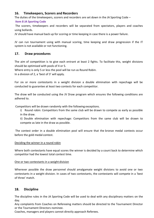## <span id="page-13-0"></span>**16. Timekeepers, Scorers and Recorders**

The duties of the timekeepers, scorers and recorders are set down in the JA Sporting Code –

## **Item 8 JA Sporting Code**

The scorers, timekeepers and recorders will be separated from spectators, players and coaches using bollards.

JV should have manual back up for scoring or time keeping in case there is a power failure.

JV can run tournament using with manual scoring, time keeping and draw progression if the IT system is not available or not functioning.

## <span id="page-13-1"></span>**17. Draw procedures**

The aim of competition is to give each entrant at least 2 fights. To facilitate this, weight divisions should be optimised with pools of 4 or 5.

Where entry is only 5 or less the pool will be run as Round Robin.

In a division of 2, a 'best of 3' will apply.

For six or more contestants in a weight division a double elimination with repechage will be conducted to guarantee at least two contests for each competitor.

The draw will be conducted using the JV Draw program which ensures the following conditions are adhered to.

Competitors will be drawn randomly with the following exceptions.

i) Round robin: Competitors from the same club will be drawn to compete as early as possible in the draw.

ii) Double elimination with repechage: Competitors from the same club will be drawn to compete as late in the draw as possible.

The contest order in a double elimination pool will ensure that the bronze medal contests occur before the gold medal contest.

## Deciding the winner in a round robin

Where both contestants have equal scores the winner is decided by a count back to determine which competitor had the lowest total contest time.

## One or two contestants in a weight division

Wherever possible the draw personnel should amalgamate weight divisions to avoid one or two contestants in a weight division. In cases of two contestants, the contestants will compete in a 'best of three' match.

## <span id="page-13-2"></span>**18. Discipline**

The discipline rules in the JA Sporting Code will be used to deal with any disciplinary matters on the day.

Any complaints from Coaches on Refereeing matters should be directed to the Tournament Director or the Tournament Directors nominee.

Coaches, managers and players cannot directly approach Referees.